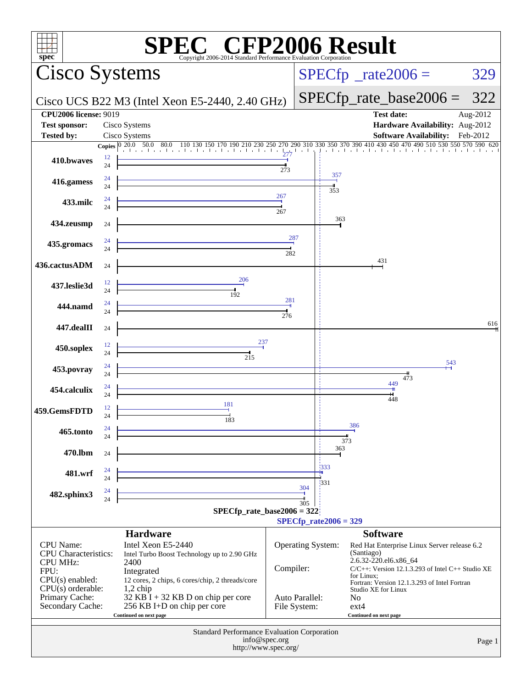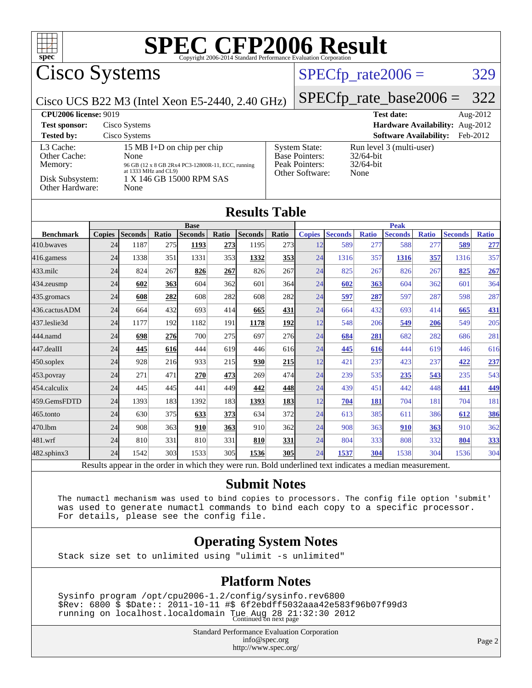

## Cisco Systems

## $SPECTp_rate2006 = 329$

Cisco UCS B22 M3 (Intel Xeon E5-2440, 2.40 GHz)

#### [SPECfp\\_rate\\_base2006 =](http://www.spec.org/auto/cpu2006/Docs/result-fields.html#SPECfpratebase2006) 322

| <b>CPU2006 license: 9019</b>                                               |                                                                                                                                                     |                                                                                    | <b>Test date:</b><br>Aug-2012                                    |
|----------------------------------------------------------------------------|-----------------------------------------------------------------------------------------------------------------------------------------------------|------------------------------------------------------------------------------------|------------------------------------------------------------------|
| <b>Test sponsor:</b>                                                       | Cisco Systems                                                                                                                                       |                                                                                    | Hardware Availability: Aug-2012                                  |
| <b>Tested by:</b>                                                          | Cisco Systems                                                                                                                                       |                                                                                    | <b>Software Availability:</b><br>Feb-2012                        |
| L3 Cache:<br>Other Cache:<br>Memory:<br>Disk Subsystem:<br>Other Hardware: | 15 MB I+D on chip per chip<br>None<br>96 GB (12 x 8 GB 2Rx4 PC3-12800R-11, ECC, running<br>at 1333 MHz and CL9)<br>1 X 146 GB 15000 RPM SAS<br>None | <b>System State:</b><br><b>Base Pointers:</b><br>Peak Pointers:<br>Other Software: | Run level 3 (multi-user)<br>$32/64$ -bit<br>$32/64$ -bit<br>None |

#### **[Results Table](http://www.spec.org/auto/cpu2006/Docs/result-fields.html#ResultsTable)**

|                      |               | <b>Base</b>     |       |                |       |                |            | <b>Peak</b>        |                 |              |                |              |                |              |  |
|----------------------|---------------|-----------------|-------|----------------|-------|----------------|------------|--------------------|-----------------|--------------|----------------|--------------|----------------|--------------|--|
| <b>Benchmark</b>     | <b>Copies</b> | <b>Seconds</b>  | Ratio | <b>Seconds</b> | Ratio | <b>Seconds</b> | Ratio      | <b>Copies</b>      | <b>Seconds</b>  | <b>Ratio</b> | <b>Seconds</b> | <b>Ratio</b> | <b>Seconds</b> | <b>Ratio</b> |  |
| 410.bwayes           | 24            | 1187            | 275   | 1193           | 273   | 1195           | 273        | 12                 | 589             | 277          | 588            | 277          | 589            | 277          |  |
| 416.gamess           | 24            | 1338            | 351   | 1331           | 353   | 1332           | <u>353</u> | 24                 | 1316            | 357          | 1316           | 357          | 1316           | 357          |  |
| $433$ .milc          | 24            | 824             | 267   | 826            | 267   | 826            | 267        | 24                 | 825             | 267          | 826            | 267          | 825            | 267          |  |
| $434$ . zeusmp       | 24            | 602             | 363   | 604            | 362   | 601            | 364        | 24                 | 602             | 363          | 604            | 362          | 601            | 364          |  |
| 435.gromacs          | 24            | 608             | 282   | 608            | 282   | 608            | 282        | 24                 | 597             | 287          | 597            | 287          | 598            | 287          |  |
| 436.cactusADM        | 24            | 664             | 432   | 693            | 414   | 665            | 431        | 24                 | 664             | 432          | 693            | 414          | 665            | 431          |  |
| 437.leslie3d         | 24            | 1177            | 192   | 1182           | 191   | 1178           | 192        | 12                 | 548             | 206          | 549            | 206          | 549            | 205          |  |
| 444.namd             | 24            | 698             | 276   | 700            | 275   | 697            | 276        | 24                 | 684             | 281          | 682            | 282          | 686            | 281          |  |
| $ 447.\text{dealII}$ | 24            | 445             | 616   | 444            | 619   | 446            | 616        | 24                 | 445             | 616          | 444            | 619          | 446            | 616          |  |
| $450$ .soplex        | 24            | 928             | 216   | 933            | 215   | 930            | 215        | 12                 | 421             | 237          | 423            | 237          | 422            | 237          |  |
| $453$ . povray       | 24            | 271             | 471   | 270            | 473   | 269            | 474        | 24                 | 239             | 535          | 235            | 543          | 235            | 543          |  |
| 454.calculix         | 24            | 445             | 445   | 441            | 449   | 442            | 448        | 24                 | 439             | 451          | 442            | 448          | 441            | 449          |  |
| 459.GemsFDTD         | 24            | 1393            | 183   | 1392           | 183   | 1393           | <b>183</b> | 12                 | 704             | 181          | 704            | 181          | 704            | 181          |  |
| $465$ .tonto         | 24            | 630             | 375   | 633            | 373   | 634            | 372        | 24                 | 613             | 385          | 611            | 386          | 612            | 386          |  |
| 470.1bm              | 24            | 908             | 363   | 910            | 363   | 910            | 362        | 24                 | 908             | 363          | 910            | 363          | 910            | 362          |  |
| 481.wrf              | 24            | 810             | 331   | 810            | 331   | 810            | 331        | 24                 | 804             | 333          | 808            | 332          | 804            | 333          |  |
| 482.sphinx3          | 24            | 1542            | 303   | 1533           | 305   | 1536           | <b>305</b> | 24                 | 1537            | 304          | 1538           | 304          | 1536           | 304          |  |
| n.                   |               | $\cdot$ $\cdot$ |       | 1.1.1.1        |       |                | T11        | $1 \quad 1$<br>1.1 | $\cdot$ $\cdot$ |              |                |              |                |              |  |

Results appear in the [order in which they were run.](http://www.spec.org/auto/cpu2006/Docs/result-fields.html#RunOrder) Bold underlined text [indicates a median measurement.](http://www.spec.org/auto/cpu2006/Docs/result-fields.html#Median)

#### **[Submit Notes](http://www.spec.org/auto/cpu2006/Docs/result-fields.html#SubmitNotes)**

 The numactl mechanism was used to bind copies to processors. The config file option 'submit' was used to generate numactl commands to bind each copy to a specific processor. For details, please see the config file.

#### **[Operating System Notes](http://www.spec.org/auto/cpu2006/Docs/result-fields.html#OperatingSystemNotes)**

Stack size set to unlimited using "ulimit -s unlimited"

#### **[Platform Notes](http://www.spec.org/auto/cpu2006/Docs/result-fields.html#PlatformNotes)**

 Sysinfo program /opt/cpu2006-1.2/config/sysinfo.rev6800 \$Rev: 6800 \$ \$Date:: 2011-10-11 #\$ 6f2ebdff5032aaa42e583f96b07f99d3 running on localhost.localdomain Tue Aug 28 21:32:30 2012 Continued on next page

> Standard Performance Evaluation Corporation [info@spec.org](mailto:info@spec.org) <http://www.spec.org/>

Page 2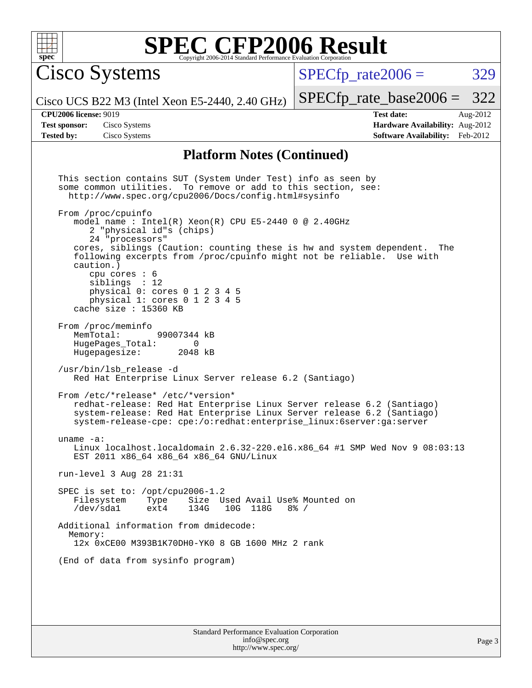

Cisco Systems

 $SPECTp\_rate2006 = 329$ 

[SPECfp\\_rate\\_base2006 =](http://www.spec.org/auto/cpu2006/Docs/result-fields.html#SPECfpratebase2006) 322

Cisco UCS B22 M3 (Intel Xeon E5-2440, 2.40 GHz)

**[Tested by:](http://www.spec.org/auto/cpu2006/Docs/result-fields.html#Testedby)** Cisco Systems **[Software Availability:](http://www.spec.org/auto/cpu2006/Docs/result-fields.html#SoftwareAvailability)** Feb-2012

**[CPU2006 license:](http://www.spec.org/auto/cpu2006/Docs/result-fields.html#CPU2006license)** 9019 **[Test date:](http://www.spec.org/auto/cpu2006/Docs/result-fields.html#Testdate)** Aug-2012 **[Test sponsor:](http://www.spec.org/auto/cpu2006/Docs/result-fields.html#Testsponsor)** Cisco Systems **[Hardware Availability:](http://www.spec.org/auto/cpu2006/Docs/result-fields.html#HardwareAvailability)** Aug-2012

#### **[Platform Notes \(Continued\)](http://www.spec.org/auto/cpu2006/Docs/result-fields.html#PlatformNotes)**

Standard Performance Evaluation Corporation This section contains SUT (System Under Test) info as seen by some common utilities. To remove or add to this section, see: <http://www.spec.org/cpu2006/Docs/config.html#sysinfo> From /proc/cpuinfo model name : Intel(R) Xeon(R) CPU E5-2440 0 @ 2.40GHz 2 "physical id"s (chips) 24 "processors" cores, siblings (Caution: counting these is hw and system dependent. The following excerpts from /proc/cpuinfo might not be reliable. Use with caution.) cpu cores : 6 siblings : 12 physical 0: cores 0 1 2 3 4 5 physical 1: cores 0 1 2 3 4 5 cache size : 15360 KB From /proc/meminfo<br>MemTotal: 99007344 kB HugePages\_Total: 0<br>Hugepagesize: 2048 kB Hugepagesize: /usr/bin/lsb\_release -d Red Hat Enterprise Linux Server release 6.2 (Santiago) From /etc/\*release\* /etc/\*version\* redhat-release: Red Hat Enterprise Linux Server release 6.2 (Santiago) system-release: Red Hat Enterprise Linux Server release 6.2 (Santiago) system-release-cpe: cpe:/o:redhat:enterprise\_linux:6server:ga:server uname -a: Linux localhost.localdomain 2.6.32-220.el6.x86\_64 #1 SMP Wed Nov 9 08:03:13 EST 2011 x86\_64 x86\_64 x86\_64 GNU/Linux run-level 3 Aug 28 21:31 SPEC is set to: /opt/cpu2006-1.2<br>Filesystem Type Size U Size Used Avail Use% Mounted on /dev/sda1 ext4 134G 10G 118G 8% / Additional information from dmidecode: Memory: 12x 0xCE00 M393B1K70DH0-YK0 8 GB 1600 MHz 2 rank (End of data from sysinfo program)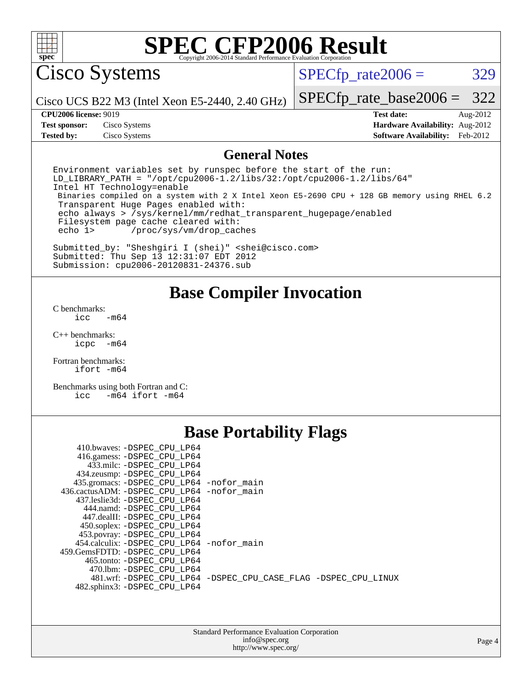

Cisco Systems

 $SPECTp\_rate2006 = 329$ 

Cisco UCS B22 M3 (Intel Xeon E5-2440, 2.40 GHz)

[SPECfp\\_rate\\_base2006 =](http://www.spec.org/auto/cpu2006/Docs/result-fields.html#SPECfpratebase2006) 322

**[Tested by:](http://www.spec.org/auto/cpu2006/Docs/result-fields.html#Testedby)** Cisco Systems **[Software Availability:](http://www.spec.org/auto/cpu2006/Docs/result-fields.html#SoftwareAvailability)** Feb-2012

**[CPU2006 license:](http://www.spec.org/auto/cpu2006/Docs/result-fields.html#CPU2006license)** 9019 **[Test date:](http://www.spec.org/auto/cpu2006/Docs/result-fields.html#Testdate)** Aug-2012 **[Test sponsor:](http://www.spec.org/auto/cpu2006/Docs/result-fields.html#Testsponsor)** Cisco Systems **[Hardware Availability:](http://www.spec.org/auto/cpu2006/Docs/result-fields.html#HardwareAvailability)** Aug-2012

#### **[General Notes](http://www.spec.org/auto/cpu2006/Docs/result-fields.html#GeneralNotes)**

Environment variables set by runspec before the start of the run: LD LIBRARY PATH = "/opt/cpu2006-1.2/libs/32:/opt/cpu2006-1.2/libs/64" Intel HT Technology=enable Binaries compiled on a system with 2 X Intel Xeon E5-2690 CPU + 128 GB memory using RHEL 6.2 Transparent Huge Pages enabled with: echo always > /sys/kernel/mm/redhat\_transparent\_hugepage/enabled Filesystem page cache cleared with: echo 1> /proc/sys/vm/drop\_caches

Submitted\_by: "Sheshgiri I (shei)" <shei@cisco.com> Submitted: Thu Sep 13 12:31:07 EDT 2012 Submission: cpu2006-20120831-24376.sub

#### **[Base Compiler Invocation](http://www.spec.org/auto/cpu2006/Docs/result-fields.html#BaseCompilerInvocation)**

[C benchmarks](http://www.spec.org/auto/cpu2006/Docs/result-fields.html#Cbenchmarks):

 $\text{icc}$   $-\text{m64}$ 

[C++ benchmarks:](http://www.spec.org/auto/cpu2006/Docs/result-fields.html#CXXbenchmarks) [icpc -m64](http://www.spec.org/cpu2006/results/res2012q3/cpu2006-20120831-24376.flags.html#user_CXXbase_intel_icpc_64bit_bedb90c1146cab66620883ef4f41a67e)

[Fortran benchmarks](http://www.spec.org/auto/cpu2006/Docs/result-fields.html#Fortranbenchmarks): [ifort -m64](http://www.spec.org/cpu2006/results/res2012q3/cpu2006-20120831-24376.flags.html#user_FCbase_intel_ifort_64bit_ee9d0fb25645d0210d97eb0527dcc06e)

[Benchmarks using both Fortran and C](http://www.spec.org/auto/cpu2006/Docs/result-fields.html#BenchmarksusingbothFortranandC): [icc -m64](http://www.spec.org/cpu2006/results/res2012q3/cpu2006-20120831-24376.flags.html#user_CC_FCbase_intel_icc_64bit_0b7121f5ab7cfabee23d88897260401c) [ifort -m64](http://www.spec.org/cpu2006/results/res2012q3/cpu2006-20120831-24376.flags.html#user_CC_FCbase_intel_ifort_64bit_ee9d0fb25645d0210d97eb0527dcc06e)

## **[Base Portability Flags](http://www.spec.org/auto/cpu2006/Docs/result-fields.html#BasePortabilityFlags)**

| 410.bwaves: -DSPEC CPU LP64                 |                                                                |
|---------------------------------------------|----------------------------------------------------------------|
| 416.gamess: -DSPEC_CPU_LP64                 |                                                                |
| 433.milc: -DSPEC CPU LP64                   |                                                                |
| 434.zeusmp: -DSPEC_CPU_LP64                 |                                                                |
| 435.gromacs: -DSPEC_CPU_LP64 -nofor_main    |                                                                |
| 436.cactusADM: -DSPEC CPU LP64 -nofor main  |                                                                |
| 437.leslie3d: -DSPEC CPU LP64               |                                                                |
| 444.namd: - DSPEC_CPU LP64                  |                                                                |
| 447.dealII: -DSPEC CPU LP64                 |                                                                |
| 450.soplex: -DSPEC_CPU_LP64                 |                                                                |
| 453.povray: -DSPEC_CPU_LP64                 |                                                                |
| 454.calculix: - DSPEC CPU LP64 - nofor main |                                                                |
| 459.GemsFDTD: -DSPEC CPU LP64               |                                                                |
| 465.tonto: - DSPEC CPU LP64                 |                                                                |
| 470.1bm: - DSPEC CPU LP64                   |                                                                |
|                                             | 481.wrf: -DSPEC CPU LP64 -DSPEC CPU CASE FLAG -DSPEC CPU LINUX |
| 482.sphinx3: -DSPEC CPU LP64                |                                                                |

| <b>Standard Performance Evaluation Corporation</b> |
|----------------------------------------------------|
| info@spec.org                                      |
| http://www.spec.org/                               |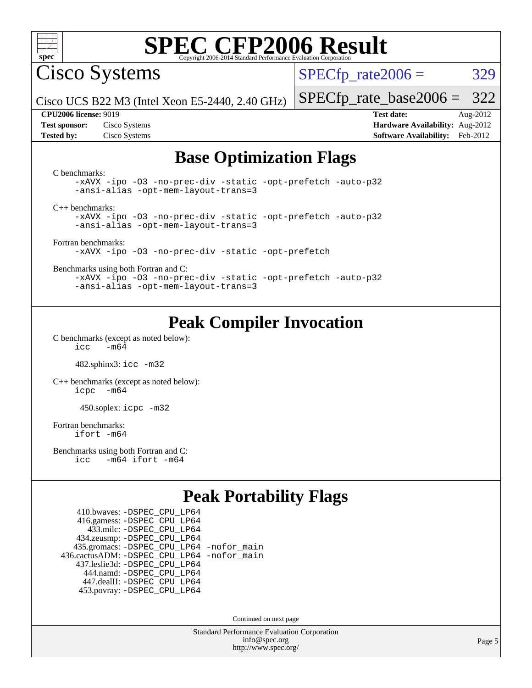

Cisco Systems

 $SPECTp\_rate2006 = 329$ 

Cisco UCS B22 M3 (Intel Xeon E5-2440, 2.40 GHz)

[SPECfp\\_rate\\_base2006 =](http://www.spec.org/auto/cpu2006/Docs/result-fields.html#SPECfpratebase2006) 322 **[CPU2006 license:](http://www.spec.org/auto/cpu2006/Docs/result-fields.html#CPU2006license)** 9019 **[Test date:](http://www.spec.org/auto/cpu2006/Docs/result-fields.html#Testdate)** Aug-2012

**[Test sponsor:](http://www.spec.org/auto/cpu2006/Docs/result-fields.html#Testsponsor)** Cisco Systems **[Hardware Availability:](http://www.spec.org/auto/cpu2006/Docs/result-fields.html#HardwareAvailability)** Aug-2012 **[Tested by:](http://www.spec.org/auto/cpu2006/Docs/result-fields.html#Testedby)** Cisco Systems **[Software Availability:](http://www.spec.org/auto/cpu2006/Docs/result-fields.html#SoftwareAvailability)** Feb-2012

### **[Base Optimization Flags](http://www.spec.org/auto/cpu2006/Docs/result-fields.html#BaseOptimizationFlags)**

[C benchmarks](http://www.spec.org/auto/cpu2006/Docs/result-fields.html#Cbenchmarks): [-xAVX](http://www.spec.org/cpu2006/results/res2012q3/cpu2006-20120831-24376.flags.html#user_CCbase_f-xAVX) [-ipo](http://www.spec.org/cpu2006/results/res2012q3/cpu2006-20120831-24376.flags.html#user_CCbase_f-ipo) [-O3](http://www.spec.org/cpu2006/results/res2012q3/cpu2006-20120831-24376.flags.html#user_CCbase_f-O3) [-no-prec-div](http://www.spec.org/cpu2006/results/res2012q3/cpu2006-20120831-24376.flags.html#user_CCbase_f-no-prec-div) [-static](http://www.spec.org/cpu2006/results/res2012q3/cpu2006-20120831-24376.flags.html#user_CCbase_f-static) [-opt-prefetch](http://www.spec.org/cpu2006/results/res2012q3/cpu2006-20120831-24376.flags.html#user_CCbase_f-opt-prefetch) [-auto-p32](http://www.spec.org/cpu2006/results/res2012q3/cpu2006-20120831-24376.flags.html#user_CCbase_f-auto-p32) [-ansi-alias](http://www.spec.org/cpu2006/results/res2012q3/cpu2006-20120831-24376.flags.html#user_CCbase_f-ansi-alias) [-opt-mem-layout-trans=3](http://www.spec.org/cpu2006/results/res2012q3/cpu2006-20120831-24376.flags.html#user_CCbase_f-opt-mem-layout-trans_a7b82ad4bd7abf52556d4961a2ae94d5) [C++ benchmarks:](http://www.spec.org/auto/cpu2006/Docs/result-fields.html#CXXbenchmarks) [-xAVX](http://www.spec.org/cpu2006/results/res2012q3/cpu2006-20120831-24376.flags.html#user_CXXbase_f-xAVX) [-ipo](http://www.spec.org/cpu2006/results/res2012q3/cpu2006-20120831-24376.flags.html#user_CXXbase_f-ipo) [-O3](http://www.spec.org/cpu2006/results/res2012q3/cpu2006-20120831-24376.flags.html#user_CXXbase_f-O3) [-no-prec-div](http://www.spec.org/cpu2006/results/res2012q3/cpu2006-20120831-24376.flags.html#user_CXXbase_f-no-prec-div) [-static](http://www.spec.org/cpu2006/results/res2012q3/cpu2006-20120831-24376.flags.html#user_CXXbase_f-static) [-opt-prefetch](http://www.spec.org/cpu2006/results/res2012q3/cpu2006-20120831-24376.flags.html#user_CXXbase_f-opt-prefetch) [-auto-p32](http://www.spec.org/cpu2006/results/res2012q3/cpu2006-20120831-24376.flags.html#user_CXXbase_f-auto-p32) [-ansi-alias](http://www.spec.org/cpu2006/results/res2012q3/cpu2006-20120831-24376.flags.html#user_CXXbase_f-ansi-alias) [-opt-mem-layout-trans=3](http://www.spec.org/cpu2006/results/res2012q3/cpu2006-20120831-24376.flags.html#user_CXXbase_f-opt-mem-layout-trans_a7b82ad4bd7abf52556d4961a2ae94d5) [Fortran benchmarks](http://www.spec.org/auto/cpu2006/Docs/result-fields.html#Fortranbenchmarks): [-xAVX](http://www.spec.org/cpu2006/results/res2012q3/cpu2006-20120831-24376.flags.html#user_FCbase_f-xAVX) [-ipo](http://www.spec.org/cpu2006/results/res2012q3/cpu2006-20120831-24376.flags.html#user_FCbase_f-ipo) [-O3](http://www.spec.org/cpu2006/results/res2012q3/cpu2006-20120831-24376.flags.html#user_FCbase_f-O3) [-no-prec-div](http://www.spec.org/cpu2006/results/res2012q3/cpu2006-20120831-24376.flags.html#user_FCbase_f-no-prec-div) [-static](http://www.spec.org/cpu2006/results/res2012q3/cpu2006-20120831-24376.flags.html#user_FCbase_f-static) [-opt-prefetch](http://www.spec.org/cpu2006/results/res2012q3/cpu2006-20120831-24376.flags.html#user_FCbase_f-opt-prefetch) [Benchmarks using both Fortran and C](http://www.spec.org/auto/cpu2006/Docs/result-fields.html#BenchmarksusingbothFortranandC): [-xAVX](http://www.spec.org/cpu2006/results/res2012q3/cpu2006-20120831-24376.flags.html#user_CC_FCbase_f-xAVX) [-ipo](http://www.spec.org/cpu2006/results/res2012q3/cpu2006-20120831-24376.flags.html#user_CC_FCbase_f-ipo) [-O3](http://www.spec.org/cpu2006/results/res2012q3/cpu2006-20120831-24376.flags.html#user_CC_FCbase_f-O3) [-no-prec-div](http://www.spec.org/cpu2006/results/res2012q3/cpu2006-20120831-24376.flags.html#user_CC_FCbase_f-no-prec-div) [-static](http://www.spec.org/cpu2006/results/res2012q3/cpu2006-20120831-24376.flags.html#user_CC_FCbase_f-static) [-opt-prefetch](http://www.spec.org/cpu2006/results/res2012q3/cpu2006-20120831-24376.flags.html#user_CC_FCbase_f-opt-prefetch) [-auto-p32](http://www.spec.org/cpu2006/results/res2012q3/cpu2006-20120831-24376.flags.html#user_CC_FCbase_f-auto-p32) [-ansi-alias](http://www.spec.org/cpu2006/results/res2012q3/cpu2006-20120831-24376.flags.html#user_CC_FCbase_f-ansi-alias) [-opt-mem-layout-trans=3](http://www.spec.org/cpu2006/results/res2012q3/cpu2006-20120831-24376.flags.html#user_CC_FCbase_f-opt-mem-layout-trans_a7b82ad4bd7abf52556d4961a2ae94d5)

## **[Peak Compiler Invocation](http://www.spec.org/auto/cpu2006/Docs/result-fields.html#PeakCompilerInvocation)**

[C benchmarks \(except as noted below\)](http://www.spec.org/auto/cpu2006/Docs/result-fields.html#Cbenchmarksexceptasnotedbelow):  $\text{icc}$  -m64

482.sphinx3: [icc -m32](http://www.spec.org/cpu2006/results/res2012q3/cpu2006-20120831-24376.flags.html#user_peakCCLD482_sphinx3_intel_icc_a6a621f8d50482236b970c6ac5f55f93)

[C++ benchmarks \(except as noted below\):](http://www.spec.org/auto/cpu2006/Docs/result-fields.html#CXXbenchmarksexceptasnotedbelow) [icpc -m64](http://www.spec.org/cpu2006/results/res2012q3/cpu2006-20120831-24376.flags.html#user_CXXpeak_intel_icpc_64bit_bedb90c1146cab66620883ef4f41a67e)

450.soplex: [icpc -m32](http://www.spec.org/cpu2006/results/res2012q3/cpu2006-20120831-24376.flags.html#user_peakCXXLD450_soplex_intel_icpc_4e5a5ef1a53fd332b3c49e69c3330699)

[Fortran benchmarks](http://www.spec.org/auto/cpu2006/Docs/result-fields.html#Fortranbenchmarks): [ifort -m64](http://www.spec.org/cpu2006/results/res2012q3/cpu2006-20120831-24376.flags.html#user_FCpeak_intel_ifort_64bit_ee9d0fb25645d0210d97eb0527dcc06e)

[Benchmarks using both Fortran and C](http://www.spec.org/auto/cpu2006/Docs/result-fields.html#BenchmarksusingbothFortranandC): [icc -m64](http://www.spec.org/cpu2006/results/res2012q3/cpu2006-20120831-24376.flags.html#user_CC_FCpeak_intel_icc_64bit_0b7121f5ab7cfabee23d88897260401c) [ifort -m64](http://www.spec.org/cpu2006/results/res2012q3/cpu2006-20120831-24376.flags.html#user_CC_FCpeak_intel_ifort_64bit_ee9d0fb25645d0210d97eb0527dcc06e)

## **[Peak Portability Flags](http://www.spec.org/auto/cpu2006/Docs/result-fields.html#PeakPortabilityFlags)**

 410.bwaves: [-DSPEC\\_CPU\\_LP64](http://www.spec.org/cpu2006/results/res2012q3/cpu2006-20120831-24376.flags.html#suite_peakPORTABILITY410_bwaves_DSPEC_CPU_LP64) 416.gamess: [-DSPEC\\_CPU\\_LP64](http://www.spec.org/cpu2006/results/res2012q3/cpu2006-20120831-24376.flags.html#suite_peakPORTABILITY416_gamess_DSPEC_CPU_LP64) 433.milc: [-DSPEC\\_CPU\\_LP64](http://www.spec.org/cpu2006/results/res2012q3/cpu2006-20120831-24376.flags.html#suite_peakPORTABILITY433_milc_DSPEC_CPU_LP64) 434.zeusmp: [-DSPEC\\_CPU\\_LP64](http://www.spec.org/cpu2006/results/res2012q3/cpu2006-20120831-24376.flags.html#suite_peakPORTABILITY434_zeusmp_DSPEC_CPU_LP64) 435.gromacs: [-DSPEC\\_CPU\\_LP64](http://www.spec.org/cpu2006/results/res2012q3/cpu2006-20120831-24376.flags.html#suite_peakPORTABILITY435_gromacs_DSPEC_CPU_LP64) [-nofor\\_main](http://www.spec.org/cpu2006/results/res2012q3/cpu2006-20120831-24376.flags.html#user_peakLDPORTABILITY435_gromacs_f-nofor_main) 436.cactusADM: [-DSPEC\\_CPU\\_LP64](http://www.spec.org/cpu2006/results/res2012q3/cpu2006-20120831-24376.flags.html#suite_peakPORTABILITY436_cactusADM_DSPEC_CPU_LP64) [-nofor\\_main](http://www.spec.org/cpu2006/results/res2012q3/cpu2006-20120831-24376.flags.html#user_peakLDPORTABILITY436_cactusADM_f-nofor_main) 437.leslie3d: [-DSPEC\\_CPU\\_LP64](http://www.spec.org/cpu2006/results/res2012q3/cpu2006-20120831-24376.flags.html#suite_peakPORTABILITY437_leslie3d_DSPEC_CPU_LP64) 444.namd: [-DSPEC\\_CPU\\_LP64](http://www.spec.org/cpu2006/results/res2012q3/cpu2006-20120831-24376.flags.html#suite_peakPORTABILITY444_namd_DSPEC_CPU_LP64) 447.dealII: [-DSPEC\\_CPU\\_LP64](http://www.spec.org/cpu2006/results/res2012q3/cpu2006-20120831-24376.flags.html#suite_peakPORTABILITY447_dealII_DSPEC_CPU_LP64) 453.povray: [-DSPEC\\_CPU\\_LP64](http://www.spec.org/cpu2006/results/res2012q3/cpu2006-20120831-24376.flags.html#suite_peakPORTABILITY453_povray_DSPEC_CPU_LP64)

Continued on next page

Standard Performance Evaluation Corporation [info@spec.org](mailto:info@spec.org) <http://www.spec.org/>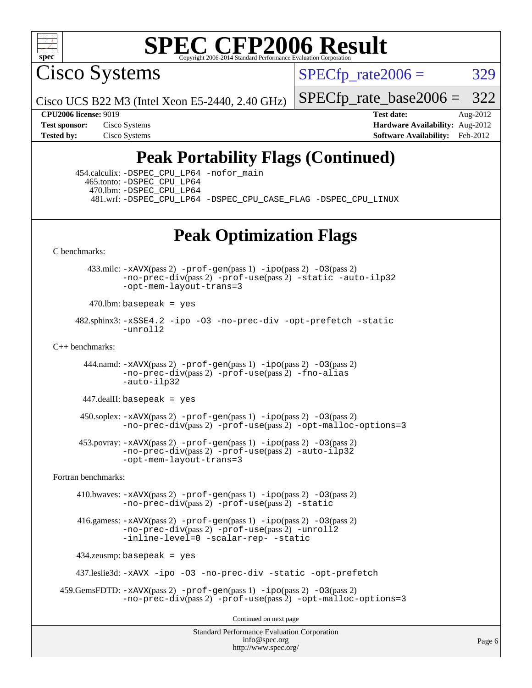

Cisco Systems

 $SPECTp\_rate2006 = 329$ 

Cisco UCS B22 M3 (Intel Xeon E5-2440, 2.40 GHz)

[SPECfp\\_rate\\_base2006 =](http://www.spec.org/auto/cpu2006/Docs/result-fields.html#SPECfpratebase2006) 322

**[CPU2006 license:](http://www.spec.org/auto/cpu2006/Docs/result-fields.html#CPU2006license)** 9019 **[Test date:](http://www.spec.org/auto/cpu2006/Docs/result-fields.html#Testdate)** Aug-2012 **[Test sponsor:](http://www.spec.org/auto/cpu2006/Docs/result-fields.html#Testsponsor)** Cisco Systems **[Hardware Availability:](http://www.spec.org/auto/cpu2006/Docs/result-fields.html#HardwareAvailability)** Aug-2012 **[Tested by:](http://www.spec.org/auto/cpu2006/Docs/result-fields.html#Testedby)** Cisco Systems **[Software Availability:](http://www.spec.org/auto/cpu2006/Docs/result-fields.html#SoftwareAvailability)** Feb-2012

## **[Peak Portability Flags \(Continued\)](http://www.spec.org/auto/cpu2006/Docs/result-fields.html#PeakPortabilityFlags)**

 454.calculix: [-DSPEC\\_CPU\\_LP64](http://www.spec.org/cpu2006/results/res2012q3/cpu2006-20120831-24376.flags.html#suite_peakPORTABILITY454_calculix_DSPEC_CPU_LP64) [-nofor\\_main](http://www.spec.org/cpu2006/results/res2012q3/cpu2006-20120831-24376.flags.html#user_peakLDPORTABILITY454_calculix_f-nofor_main) 465.tonto: [-DSPEC\\_CPU\\_LP64](http://www.spec.org/cpu2006/results/res2012q3/cpu2006-20120831-24376.flags.html#suite_peakPORTABILITY465_tonto_DSPEC_CPU_LP64) 470.lbm: [-DSPEC\\_CPU\\_LP64](http://www.spec.org/cpu2006/results/res2012q3/cpu2006-20120831-24376.flags.html#suite_peakPORTABILITY470_lbm_DSPEC_CPU_LP64) 481.wrf: [-DSPEC\\_CPU\\_LP64](http://www.spec.org/cpu2006/results/res2012q3/cpu2006-20120831-24376.flags.html#suite_peakPORTABILITY481_wrf_DSPEC_CPU_LP64) [-DSPEC\\_CPU\\_CASE\\_FLAG](http://www.spec.org/cpu2006/results/res2012q3/cpu2006-20120831-24376.flags.html#b481.wrf_peakCPORTABILITY_DSPEC_CPU_CASE_FLAG) [-DSPEC\\_CPU\\_LINUX](http://www.spec.org/cpu2006/results/res2012q3/cpu2006-20120831-24376.flags.html#b481.wrf_peakCPORTABILITY_DSPEC_CPU_LINUX)

## **[Peak Optimization Flags](http://www.spec.org/auto/cpu2006/Docs/result-fields.html#PeakOptimizationFlags)**

[C benchmarks](http://www.spec.org/auto/cpu2006/Docs/result-fields.html#Cbenchmarks):

 433.milc: [-xAVX](http://www.spec.org/cpu2006/results/res2012q3/cpu2006-20120831-24376.flags.html#user_peakPASS2_CFLAGSPASS2_LDFLAGS433_milc_f-xAVX)(pass 2) [-prof-gen](http://www.spec.org/cpu2006/results/res2012q3/cpu2006-20120831-24376.flags.html#user_peakPASS1_CFLAGSPASS1_LDFLAGS433_milc_prof_gen_e43856698f6ca7b7e442dfd80e94a8fc)(pass 1) [-ipo](http://www.spec.org/cpu2006/results/res2012q3/cpu2006-20120831-24376.flags.html#user_peakPASS2_CFLAGSPASS2_LDFLAGS433_milc_f-ipo)(pass 2) [-O3](http://www.spec.org/cpu2006/results/res2012q3/cpu2006-20120831-24376.flags.html#user_peakPASS2_CFLAGSPASS2_LDFLAGS433_milc_f-O3)(pass 2) [-no-prec-div](http://www.spec.org/cpu2006/results/res2012q3/cpu2006-20120831-24376.flags.html#user_peakPASS2_CFLAGSPASS2_LDFLAGS433_milc_f-no-prec-div)(pass 2) [-prof-use](http://www.spec.org/cpu2006/results/res2012q3/cpu2006-20120831-24376.flags.html#user_peakPASS2_CFLAGSPASS2_LDFLAGS433_milc_prof_use_bccf7792157ff70d64e32fe3e1250b55)(pass 2) [-static](http://www.spec.org/cpu2006/results/res2012q3/cpu2006-20120831-24376.flags.html#user_peakOPTIMIZE433_milc_f-static) [-auto-ilp32](http://www.spec.org/cpu2006/results/res2012q3/cpu2006-20120831-24376.flags.html#user_peakCOPTIMIZE433_milc_f-auto-ilp32) [-opt-mem-layout-trans=3](http://www.spec.org/cpu2006/results/res2012q3/cpu2006-20120831-24376.flags.html#user_peakCOPTIMIZE433_milc_f-opt-mem-layout-trans_a7b82ad4bd7abf52556d4961a2ae94d5)

 $470$ .lbm: basepeak = yes

 482.sphinx3: [-xSSE4.2](http://www.spec.org/cpu2006/results/res2012q3/cpu2006-20120831-24376.flags.html#user_peakOPTIMIZE482_sphinx3_f-xSSE42_f91528193cf0b216347adb8b939d4107) [-ipo](http://www.spec.org/cpu2006/results/res2012q3/cpu2006-20120831-24376.flags.html#user_peakOPTIMIZE482_sphinx3_f-ipo) [-O3](http://www.spec.org/cpu2006/results/res2012q3/cpu2006-20120831-24376.flags.html#user_peakOPTIMIZE482_sphinx3_f-O3) [-no-prec-div](http://www.spec.org/cpu2006/results/res2012q3/cpu2006-20120831-24376.flags.html#user_peakOPTIMIZE482_sphinx3_f-no-prec-div) [-opt-prefetch](http://www.spec.org/cpu2006/results/res2012q3/cpu2006-20120831-24376.flags.html#user_peakOPTIMIZE482_sphinx3_f-opt-prefetch) [-static](http://www.spec.org/cpu2006/results/res2012q3/cpu2006-20120831-24376.flags.html#user_peakOPTIMIZE482_sphinx3_f-static) [-unroll2](http://www.spec.org/cpu2006/results/res2012q3/cpu2006-20120831-24376.flags.html#user_peakCOPTIMIZE482_sphinx3_f-unroll_784dae83bebfb236979b41d2422d7ec2)

 $C_{++}$  benchmarks:

444.namd:  $-xAVX(pass 2)$  $-xAVX(pass 2)$  [-prof-gen](http://www.spec.org/cpu2006/results/res2012q3/cpu2006-20120831-24376.flags.html#user_peakPASS1_CXXFLAGSPASS1_LDFLAGS444_namd_prof_gen_e43856698f6ca7b7e442dfd80e94a8fc)(pass 1) [-ipo](http://www.spec.org/cpu2006/results/res2012q3/cpu2006-20120831-24376.flags.html#user_peakPASS2_CXXFLAGSPASS2_LDFLAGS444_namd_f-ipo)(pass 2) [-O3](http://www.spec.org/cpu2006/results/res2012q3/cpu2006-20120831-24376.flags.html#user_peakPASS2_CXXFLAGSPASS2_LDFLAGS444_namd_f-O3)(pass 2) [-no-prec-div](http://www.spec.org/cpu2006/results/res2012q3/cpu2006-20120831-24376.flags.html#user_peakPASS2_CXXFLAGSPASS2_LDFLAGS444_namd_f-no-prec-div)(pass 2) [-prof-use](http://www.spec.org/cpu2006/results/res2012q3/cpu2006-20120831-24376.flags.html#user_peakPASS2_CXXFLAGSPASS2_LDFLAGS444_namd_prof_use_bccf7792157ff70d64e32fe3e1250b55)(pass 2) [-fno-alias](http://www.spec.org/cpu2006/results/res2012q3/cpu2006-20120831-24376.flags.html#user_peakCXXOPTIMIZE444_namd_f-no-alias_694e77f6c5a51e658e82ccff53a9e63a) [-auto-ilp32](http://www.spec.org/cpu2006/results/res2012q3/cpu2006-20120831-24376.flags.html#user_peakCXXOPTIMIZE444_namd_f-auto-ilp32)

 $447$ .dealII: basepeak = yes

 $450$ .soplex:  $-x$ AVX(pass 2)  $-p$ rof-gen(pass 1)  $-i$ po(pass 2)  $-03$ (pass 2) [-no-prec-div](http://www.spec.org/cpu2006/results/res2012q3/cpu2006-20120831-24376.flags.html#user_peakPASS2_CXXFLAGSPASS2_LDFLAGS450_soplex_f-no-prec-div)(pass 2) [-prof-use](http://www.spec.org/cpu2006/results/res2012q3/cpu2006-20120831-24376.flags.html#user_peakPASS2_CXXFLAGSPASS2_LDFLAGS450_soplex_prof_use_bccf7792157ff70d64e32fe3e1250b55)(pass 2) [-opt-malloc-options=3](http://www.spec.org/cpu2006/results/res2012q3/cpu2006-20120831-24376.flags.html#user_peakOPTIMIZE450_soplex_f-opt-malloc-options_13ab9b803cf986b4ee62f0a5998c2238)

 453.povray: [-xAVX](http://www.spec.org/cpu2006/results/res2012q3/cpu2006-20120831-24376.flags.html#user_peakPASS2_CXXFLAGSPASS2_LDFLAGS453_povray_f-xAVX)(pass 2) [-prof-gen](http://www.spec.org/cpu2006/results/res2012q3/cpu2006-20120831-24376.flags.html#user_peakPASS1_CXXFLAGSPASS1_LDFLAGS453_povray_prof_gen_e43856698f6ca7b7e442dfd80e94a8fc)(pass 1) [-ipo](http://www.spec.org/cpu2006/results/res2012q3/cpu2006-20120831-24376.flags.html#user_peakPASS2_CXXFLAGSPASS2_LDFLAGS453_povray_f-ipo)(pass 2) [-O3](http://www.spec.org/cpu2006/results/res2012q3/cpu2006-20120831-24376.flags.html#user_peakPASS2_CXXFLAGSPASS2_LDFLAGS453_povray_f-O3)(pass 2) [-no-prec-div](http://www.spec.org/cpu2006/results/res2012q3/cpu2006-20120831-24376.flags.html#user_peakPASS2_CXXFLAGSPASS2_LDFLAGS453_povray_f-no-prec-div)(pass 2) [-prof-use](http://www.spec.org/cpu2006/results/res2012q3/cpu2006-20120831-24376.flags.html#user_peakPASS2_CXXFLAGSPASS2_LDFLAGS453_povray_prof_use_bccf7792157ff70d64e32fe3e1250b55)(pass 2) [-auto-ilp32](http://www.spec.org/cpu2006/results/res2012q3/cpu2006-20120831-24376.flags.html#user_peakCXXOPTIMIZE453_povray_f-auto-ilp32) [-opt-mem-layout-trans=3](http://www.spec.org/cpu2006/results/res2012q3/cpu2006-20120831-24376.flags.html#user_peakCXXOPTIMIZE453_povray_f-opt-mem-layout-trans_a7b82ad4bd7abf52556d4961a2ae94d5)

[Fortran benchmarks](http://www.spec.org/auto/cpu2006/Docs/result-fields.html#Fortranbenchmarks):

 410.bwaves: [-xAVX](http://www.spec.org/cpu2006/results/res2012q3/cpu2006-20120831-24376.flags.html#user_peakPASS2_FFLAGSPASS2_LDFLAGS410_bwaves_f-xAVX)(pass 2) [-prof-gen](http://www.spec.org/cpu2006/results/res2012q3/cpu2006-20120831-24376.flags.html#user_peakPASS1_FFLAGSPASS1_LDFLAGS410_bwaves_prof_gen_e43856698f6ca7b7e442dfd80e94a8fc)(pass 1) [-ipo](http://www.spec.org/cpu2006/results/res2012q3/cpu2006-20120831-24376.flags.html#user_peakPASS2_FFLAGSPASS2_LDFLAGS410_bwaves_f-ipo)(pass 2) [-O3](http://www.spec.org/cpu2006/results/res2012q3/cpu2006-20120831-24376.flags.html#user_peakPASS2_FFLAGSPASS2_LDFLAGS410_bwaves_f-O3)(pass 2) [-no-prec-div](http://www.spec.org/cpu2006/results/res2012q3/cpu2006-20120831-24376.flags.html#user_peakPASS2_FFLAGSPASS2_LDFLAGS410_bwaves_f-no-prec-div)(pass 2) [-prof-use](http://www.spec.org/cpu2006/results/res2012q3/cpu2006-20120831-24376.flags.html#user_peakPASS2_FFLAGSPASS2_LDFLAGS410_bwaves_prof_use_bccf7792157ff70d64e32fe3e1250b55)(pass 2) [-static](http://www.spec.org/cpu2006/results/res2012q3/cpu2006-20120831-24376.flags.html#user_peakOPTIMIZE410_bwaves_f-static)

 416.gamess: [-xAVX](http://www.spec.org/cpu2006/results/res2012q3/cpu2006-20120831-24376.flags.html#user_peakPASS2_FFLAGSPASS2_LDFLAGS416_gamess_f-xAVX)(pass 2) [-prof-gen](http://www.spec.org/cpu2006/results/res2012q3/cpu2006-20120831-24376.flags.html#user_peakPASS1_FFLAGSPASS1_LDFLAGS416_gamess_prof_gen_e43856698f6ca7b7e442dfd80e94a8fc)(pass 1) [-ipo](http://www.spec.org/cpu2006/results/res2012q3/cpu2006-20120831-24376.flags.html#user_peakPASS2_FFLAGSPASS2_LDFLAGS416_gamess_f-ipo)(pass 2) [-O3](http://www.spec.org/cpu2006/results/res2012q3/cpu2006-20120831-24376.flags.html#user_peakPASS2_FFLAGSPASS2_LDFLAGS416_gamess_f-O3)(pass 2) [-no-prec-div](http://www.spec.org/cpu2006/results/res2012q3/cpu2006-20120831-24376.flags.html#user_peakPASS2_FFLAGSPASS2_LDFLAGS416_gamess_f-no-prec-div)(pass 2) [-prof-use](http://www.spec.org/cpu2006/results/res2012q3/cpu2006-20120831-24376.flags.html#user_peakPASS2_FFLAGSPASS2_LDFLAGS416_gamess_prof_use_bccf7792157ff70d64e32fe3e1250b55)(pass 2) [-unroll2](http://www.spec.org/cpu2006/results/res2012q3/cpu2006-20120831-24376.flags.html#user_peakOPTIMIZE416_gamess_f-unroll_784dae83bebfb236979b41d2422d7ec2) [-inline-level=0](http://www.spec.org/cpu2006/results/res2012q3/cpu2006-20120831-24376.flags.html#user_peakOPTIMIZE416_gamess_f-inline-level_318d07a09274ad25e8d15dbfaa68ba50) [-scalar-rep-](http://www.spec.org/cpu2006/results/res2012q3/cpu2006-20120831-24376.flags.html#user_peakOPTIMIZE416_gamess_f-disablescalarrep_abbcad04450fb118e4809c81d83c8a1d) [-static](http://www.spec.org/cpu2006/results/res2012q3/cpu2006-20120831-24376.flags.html#user_peakOPTIMIZE416_gamess_f-static)

434.zeusmp: basepeak = yes

437.leslie3d: [-xAVX](http://www.spec.org/cpu2006/results/res2012q3/cpu2006-20120831-24376.flags.html#user_peakOPTIMIZE437_leslie3d_f-xAVX) [-ipo](http://www.spec.org/cpu2006/results/res2012q3/cpu2006-20120831-24376.flags.html#user_peakOPTIMIZE437_leslie3d_f-ipo) [-O3](http://www.spec.org/cpu2006/results/res2012q3/cpu2006-20120831-24376.flags.html#user_peakOPTIMIZE437_leslie3d_f-O3) [-no-prec-div](http://www.spec.org/cpu2006/results/res2012q3/cpu2006-20120831-24376.flags.html#user_peakOPTIMIZE437_leslie3d_f-no-prec-div) [-static](http://www.spec.org/cpu2006/results/res2012q3/cpu2006-20120831-24376.flags.html#user_peakOPTIMIZE437_leslie3d_f-static) [-opt-prefetch](http://www.spec.org/cpu2006/results/res2012q3/cpu2006-20120831-24376.flags.html#user_peakOPTIMIZE437_leslie3d_f-opt-prefetch)

```
 459.GemsFDTD: -xAVX(pass 2) -prof-gen(pass 1) -ipo(pass 2) -O3(pass 2)
  -no-prec-div(pass 2) -prof-use(pass 2) -opt-malloc-options=3
```
Continued on next page

Standard Performance Evaluation Corporation [info@spec.org](mailto:info@spec.org) <http://www.spec.org/>